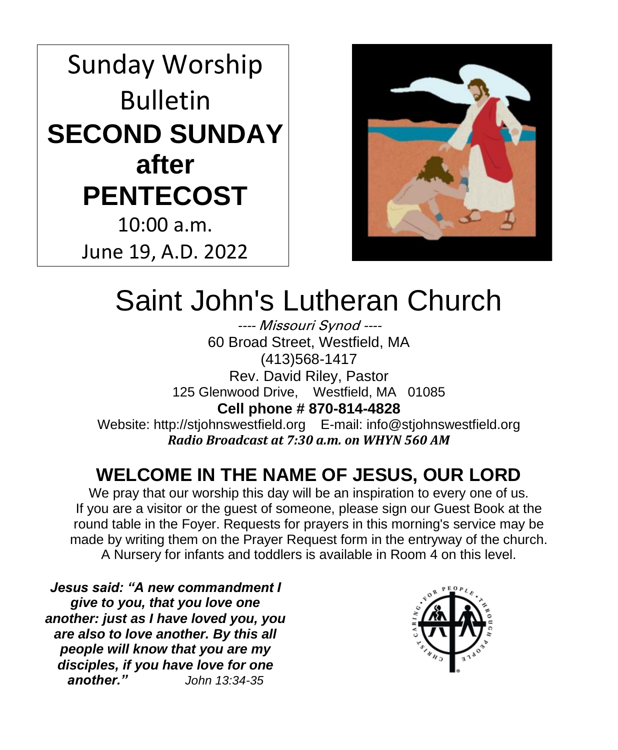Sunday Worship Bulletin **SECOND SUNDAY after PENTECOST** 10:00 a.m.

June 19, A.D. 2022



# Saint John's Lutheran Church

---- Missouri Synod ---- 60 Broad Street, Westfield, MA (413)568-1417 Rev. David Riley, Pastor 125 Glenwood Drive, Westfield, MA 01085 **Cell phone # 870-814-4828** Website: http://stjohnswestfield.org E-mail: info@stjohnswestfield.org *Radio Broadcast at 7:30 a.m. on WHYN 560 AM*

# **WELCOME IN THE NAME OF JESUS, OUR LORD**

We pray that our worship this day will be an inspiration to every one of us. If you are a visitor or the guest of someone, please sign our Guest Book at the round table in the Foyer. Requests for prayers in this morning's service may be made by writing them on the Prayer Request form in the entryway of the church. A Nursery for infants and toddlers is available in Room 4 on this level.

*Jesus said: "A new commandment I give to you, that you love one another: just as I have loved you, you are also to love another. By this all people will know that you are my disciples, if you have love for one another." John 13:34-35*

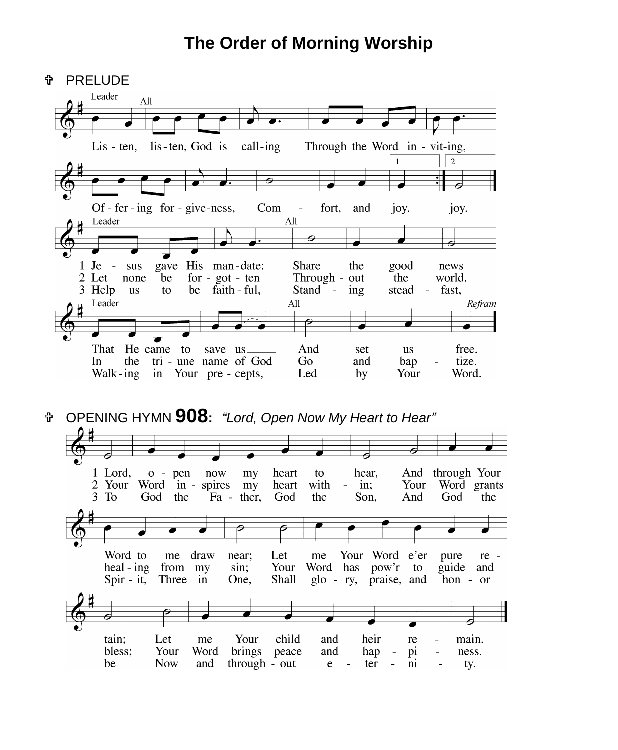# **The Order of Morning Worship**

| φ  | <b>PRELUDE</b>                                      |                             |                            |                  |               |                          |                  |                                          |                             |         |
|----|-----------------------------------------------------|-----------------------------|----------------------------|------------------|---------------|--------------------------|------------------|------------------------------------------|-----------------------------|---------|
|    | Leader                                              | All                         |                            |                  |               |                          |                  |                                          |                             |         |
|    |                                                     |                             |                            |                  |               |                          |                  |                                          |                             |         |
|    |                                                     |                             |                            |                  |               |                          |                  |                                          |                             |         |
|    | $List - ten$ ,                                      | lis-ten, God is             |                            | call-ing         |               |                          |                  | Through the Word in - vit-ing,<br>1      | $\overline{2}$              |         |
|    |                                                     |                             |                            |                  |               |                          |                  |                                          |                             |         |
|    |                                                     |                             |                            |                  |               |                          |                  |                                          |                             |         |
|    | Of - fer - ing for - give-ness,                     |                             |                            |                  | Com<br>$\Box$ | fort,                    | and              | joy.                                     | joy.                        |         |
|    | Leader                                              |                             |                            |                  | All           |                          |                  |                                          |                             |         |
|    |                                                     |                             |                            |                  |               |                          |                  |                                          |                             |         |
|    |                                                     |                             |                            |                  |               |                          |                  |                                          |                             |         |
| 2  | 1 Je<br>sus<br>$\sim$ $-$                           | gave                        | His man-date:              |                  |               | Share                    | the              | good                                     | news                        |         |
|    | Let<br>none<br>3 Help<br><b>us</b>                  | be<br>to                    | for - $got - ten$<br>be    | faith - ful,     |               | Through - out<br>Stand - | ing              | the<br>stead<br>$\overline{\phantom{a}}$ | world.<br>fast,             |         |
|    | Leader                                              |                             |                            |                  | All           |                          |                  |                                          |                             | Refrain |
|    |                                                     |                             |                            |                  |               |                          |                  |                                          |                             |         |
|    |                                                     |                             |                            |                  |               |                          |                  |                                          |                             |         |
|    | That                                                | He came to                  | save us.                   |                  |               | And                      | set              | us                                       | free.                       |         |
|    | the<br>In<br>Walk-ing                               | tri - une name of God<br>in | Your $pre$ - cepts, $\_\_$ |                  |               | Go<br>Led                | and<br>by        | bap<br>Your                              | tize.<br>Word.              |         |
| Ŷ. | OPENING HYMN 908: "Lord, Open Now My Heart to Hear" |                             |                            |                  |               |                          |                  |                                          |                             |         |
|    |                                                     |                             |                            |                  |               |                          |                  |                                          |                             |         |
|    |                                                     |                             |                            |                  |               |                          |                  |                                          |                             |         |
|    | 1 Lord,<br>2 Your                                   | $o$ - pen<br>Word           | now                        | my               | heart         | to<br>with               | hear,<br>$-$ in; | And                                      | through Your<br>Word grants |         |
|    | $3$ To                                              | God<br>the                  | in - spires                | my<br>Fa - ther, | heart<br>God  | the                      | Son,             | Your<br>And                              | God                         | the     |
|    |                                                     |                             |                            |                  |               |                          |                  |                                          |                             |         |
|    |                                                     |                             |                            |                  |               |                          |                  |                                          |                             |         |
|    |                                                     |                             |                            |                  |               |                          |                  |                                          |                             |         |
|    | Word to                                             | me draw                     |                            | near;            | Let           | me                       |                  | Your Word e'er                           | pure                        | re -    |
|    | heal - ing<br>$Spir - it$ ,                         | from my<br>Three            | in                         | sin;<br>One,     | Your<br>Shall | Word has<br>$g$ lo - ry, | pow'r            | to<br>praise, and                        | guide<br>$hon - or$         | and     |
|    |                                                     |                             |                            |                  |               |                          |                  |                                          |                             |         |
|    |                                                     |                             |                            |                  |               |                          |                  |                                          |                             |         |
|    |                                                     |                             |                            |                  |               |                          |                  |                                          |                             |         |
|    | tain;                                               | Let                         | me                         | Your             | child         | and                      | heir             | re                                       | main.                       |         |
|    | bless:                                              | Your                        | Word                       | brings           | peace         | and                      | hap              | pi                                       | ness.                       |         |

Your Word brings peace and hap -<br>Now and through - out e - ter hap - pi bless;  $\overline{\phantom{a}}$ be  $\overline{\bf{n}}$ ty.  $\overline{\phantom{a}}$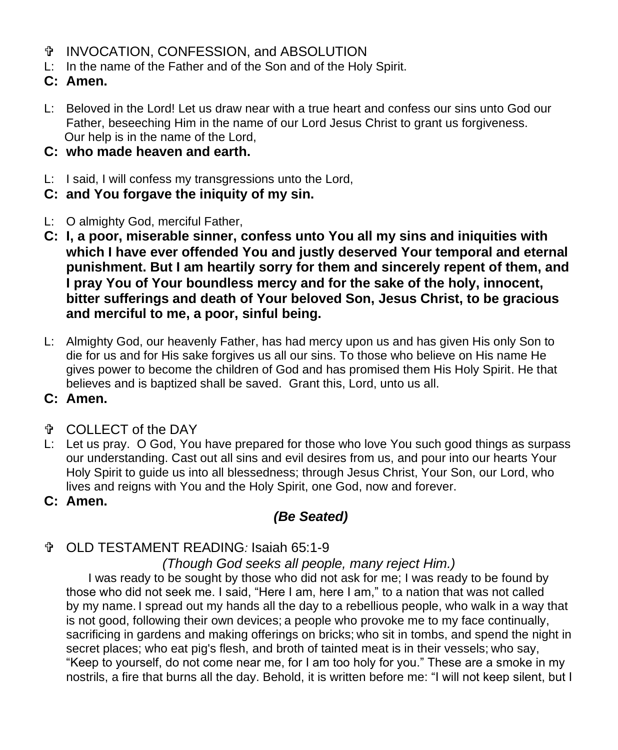- **THE INVOCATION, CONFESSION, and ABSOLUTION**
- L: In the name of the Father and of the Son and of the Holy Spirit.
- **C: Amen.**
- L: Beloved in the Lord! Let us draw near with a true heart and confess our sins unto God our Father, beseeching Him in the name of our Lord Jesus Christ to grant us forgiveness. Our help is in the name of the Lord,
- **C: who made heaven and earth.**
- L: I said, I will confess my transgressions unto the Lord,
- **C: and You forgave the iniquity of my sin.**
- L: O almighty God, merciful Father,
- **C: I, a poor, miserable sinner, confess unto You all my sins and iniquities with which I have ever offended You and justly deserved Your temporal and eternal punishment. But I am heartily sorry for them and sincerely repent of them, and I pray You of Your boundless mercy and for the sake of the holy, innocent, bitter sufferings and death of Your beloved Son, Jesus Christ, to be gracious and merciful to me, a poor, sinful being.**
- L: Almighty God, our heavenly Father, has had mercy upon us and has given His only Son to die for us and for His sake forgives us all our sins. To those who believe on His name He gives power to become the children of God and has promised them His Holy Spirit. He that believes and is baptized shall be saved. Grant this, Lord, unto us all.
- **C: Amen.**
- COLLECT of the DAY
- L: Let us pray. O God, You have prepared for those who love You such good things as surpass our understanding. Cast out all sins and evil desires from us, and pour into our hearts Your Holy Spirit to guide us into all blessedness; through Jesus Christ, Your Son, our Lord, who lives and reigns with You and the Holy Spirit, one God, now and forever.
- **C: Amen.**

## *(Be Seated)*

### OLD TESTAMENT READING*:* Isaiah 65:1-9

*(Though God seeks all people, many reject Him.)*

I was ready to be sought by those who did not ask for me; I was ready to be found by those who did not seek me. I said, "Here I am, here I am," to a nation that was not called by my name. I spread out my hands all the day to a rebellious people, who walk in a way that is not good, following their own devices; a people who provoke me to my face continually, sacrificing in gardens and making offerings on bricks; who sit in tombs, and spend the night in secret places; who eat pig's flesh, and broth of tainted meat is in their vessels; who say, "Keep to yourself, do not come near me, for I am too holy for you." These are a smoke in my nostrils, a fire that burns all the day. Behold, it is written before me: "I will not keep silent, but I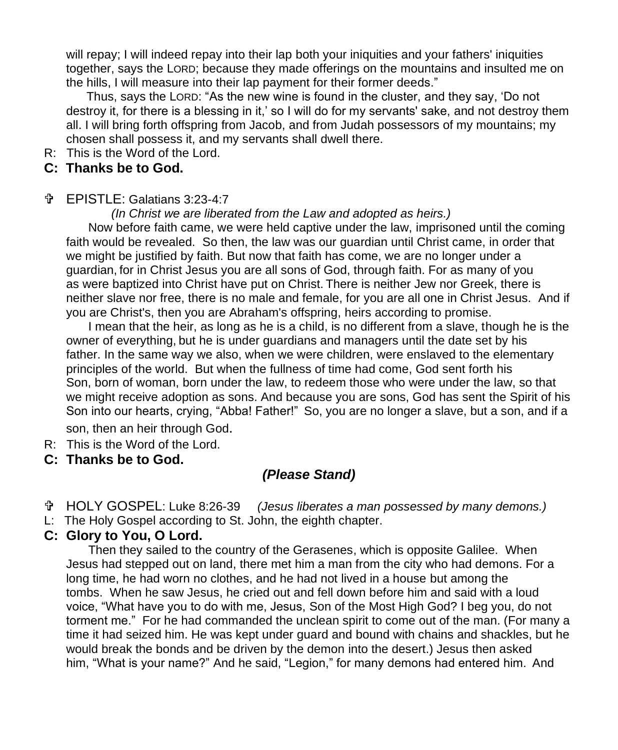will repay; I will indeed repay into their lap both your iniquities and your fathers' iniquities together, says the LORD; because they made offerings on the mountains and insulted me on the hills, I will measure into their lap payment for their former deeds."

 Thus, says the LORD: "As the new wine is found in the cluster, and they say, 'Do not destroy it, for there is a blessing in it,' so I will do for my servants' sake, and not destroy them all. I will bring forth offspring from Jacob, and from Judah possessors of my mountains; my chosen shall possess it, and my servants shall dwell there.

R: This is the Word of the Lord.

#### **C: Thanks be to God.**

#### EPISTLE: Galatians 3:23-4:7

 *(In Christ we are liberated from the Law and adopted as heirs.)* 

Now before faith came, we were held captive under the law, imprisoned until the coming faith would be revealed. So then, the law was our guardian until Christ came, in order that we might be justified by faith. But now that faith has come, we are no longer under a guardian, for in Christ Jesus you are all sons of God, through faith. For as many of you as were baptized into Christ have put on Christ. There is neither Jew nor Greek, there is neither slave nor free, there is no male and female, for you are all one in Christ Jesus. And if you are Christ's, then you are Abraham's offspring, heirs according to promise.

I mean that the heir, as long as he is a child, is no different from a slave, though he is the owner of everything, but he is under guardians and managers until the date set by his father. In the same way we also, when we were children, were enslaved to the elementary principles of the world. But when the fullness of time had come, God sent forth his Son, born of woman, born under the law, to redeem those who were under the law, so that we might receive adoption as sons. And because you are sons, God has sent the Spirit of his Son into our hearts, crying, "Abba! Father!" So, you are no longer a slave, but a son, and if a son, then an heir through God.

R: This is the Word of the Lord.

#### **C: Thanks be to God.**

### *(Please Stand)*

- HOLY GOSPEL: Luke 8:26-39 *(Jesus liberates a man possessed by many demons.)*
- L: The Holy Gospel according to St. John, the eighth chapter.

#### **C: Glory to You, O Lord.**

Then they sailed to the country of the Gerasenes, which is opposite Galilee. When Jesus had stepped out on land, there met him a man from the city who had demons. For a long time, he had worn no clothes, and he had not lived in a house but among the tombs. When he saw Jesus, he cried out and fell down before him and said with a loud voice, "What have you to do with me, Jesus, Son of the Most High God? I beg you, do not torment me." For he had commanded the unclean spirit to come out of the man. (For many a time it had seized him. He was kept under guard and bound with chains and shackles, but he would break the bonds and be driven by the demon into the desert.) Jesus then asked him, "What is your name?" And he said, "Legion," for many demons had entered him. And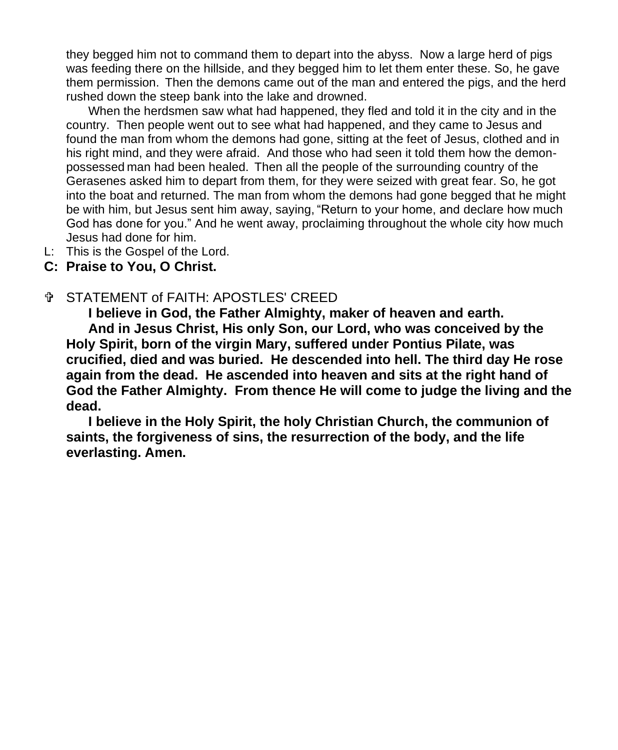they begged him not to command them to depart into the abyss. Now a large herd of pigs was feeding there on the hillside, and they begged him to let them enter these. So, he gave them permission. Then the demons came out of the man and entered the pigs, and the herd rushed down the steep bank into the lake and drowned.

When the herdsmen saw what had happened, they fled and told it in the city and in the country. Then people went out to see what had happened, and they came to Jesus and found the man from whom the demons had gone, sitting at the feet of Jesus, clothed and in his right mind, and they were afraid. And those who had seen it told them how the demonpossessed man had been healed. Then all the people of the surrounding country of the Gerasenes asked him to depart from them, for they were seized with great fear. So, he got into the boat and returned. The man from whom the demons had gone begged that he might be with him, but Jesus sent him away, saying, "Return to your home, and declare how much God has done for you." And he went away, proclaiming throughout the whole city how much Jesus had done for him.

L: This is the Gospel of the Lord.

#### **C: Praise to You, O Christ.**

#### STATEMENT of FAITH: APOSTLES' CREED

**I believe in God, the Father Almighty, maker of heaven and earth. And in Jesus Christ, His only Son, our Lord, who was conceived by the Holy Spirit, born of the virgin Mary, suffered under Pontius Pilate, was crucified, died and was buried. He descended into hell. The third day He rose again from the dead. He ascended into heaven and sits at the right hand of God the Father Almighty. From thence He will come to judge the living and the dead.**

 **I believe in the Holy Spirit, the holy Christian Church, the communion of saints, the forgiveness of sins, the resurrection of the body, and the life everlasting. Amen.**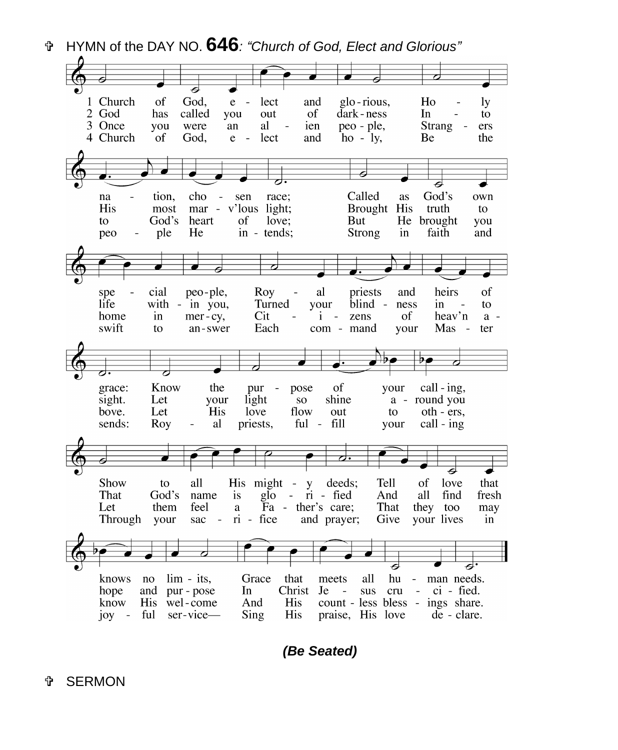HYMN of the DAY NO. **646***: "Church of God, Elect and Glorious"*



*(Be Seated)*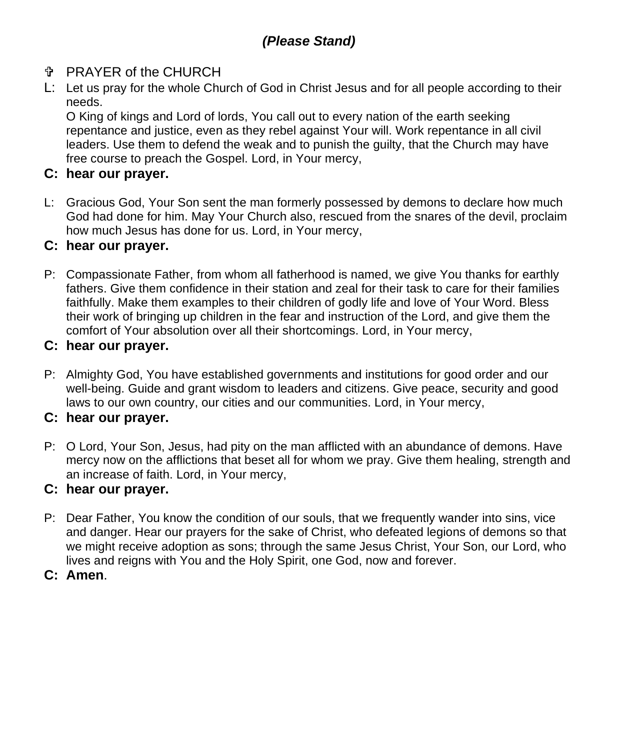#### PRAYER of the CHURCH

L: Let us pray for the whole Church of God in Christ Jesus and for all people according to their needs.

O King of kings and Lord of lords, You call out to every nation of the earth seeking repentance and justice, even as they rebel against Your will. Work repentance in all civil leaders. Use them to defend the weak and to punish the guilty, that the Church may have free course to preach the Gospel. Lord, in Your mercy,

#### **C: hear our prayer.**

L: Gracious God, Your Son sent the man formerly possessed by demons to declare how much God had done for him. May Your Church also, rescued from the snares of the devil, proclaim how much Jesus has done for us. Lord, in Your mercy,

#### **C: hear our prayer.**

P: Compassionate Father, from whom all fatherhood is named, we give You thanks for earthly fathers. Give them confidence in their station and zeal for their task to care for their families faithfully. Make them examples to their children of godly life and love of Your Word. Bless their work of bringing up children in the fear and instruction of the Lord, and give them the comfort of Your absolution over all their shortcomings. Lord, in Your mercy,

#### **C: hear our prayer.**

P: Almighty God, You have established governments and institutions for good order and our well-being. Guide and grant wisdom to leaders and citizens. Give peace, security and good laws to our own country, our cities and our communities. Lord, in Your mercy,

#### **C: hear our prayer.**

P: O Lord, Your Son, Jesus, had pity on the man afflicted with an abundance of demons. Have mercy now on the afflictions that beset all for whom we pray. Give them healing, strength and an increase of faith. Lord, in Your mercy,

#### **C: hear our prayer.**

P: Dear Father, You know the condition of our souls, that we frequently wander into sins, vice and danger. Hear our prayers for the sake of Christ, who defeated legions of demons so that we might receive adoption as sons; through the same Jesus Christ, Your Son, our Lord, who lives and reigns with You and the Holy Spirit, one God, now and forever.

#### **C: Amen**.